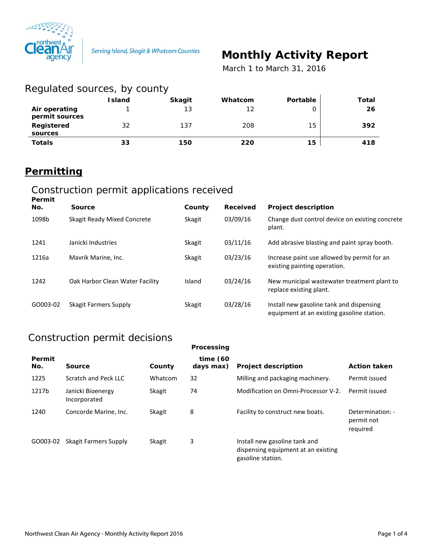

# **Monthly Activity Report**

 *March 1 to March 31, 2016*

| Regulated sources, by county    |               |               |         |          |       |  |
|---------------------------------|---------------|---------------|---------|----------|-------|--|
|                                 | <b>Island</b> | <b>Skagit</b> | Whatcom | Portable | Total |  |
| Air operating<br>permit sources |               | 13            | 12      | Ο        | 26    |  |
| Registered<br>sources           | 32            | 137           | 208     | 15       | 392   |  |
| <b>Totals</b>                   | 33            | 150           | 220     | 15       | 418   |  |

## **Permitting**

#### Construction permit applications received **Permit**

| <b>Permit</b> |                                 |               |          |                                                                                        |
|---------------|---------------------------------|---------------|----------|----------------------------------------------------------------------------------------|
| No.           | Source                          | County        | Received | <b>Project description</b>                                                             |
| 1098b         | Skagit Ready Mixed Concrete     | <b>Skagit</b> | 03/09/16 | Change dust control device on existing concrete<br>plant.                              |
| 1241          | Janicki Industries              | <b>Skagit</b> | 03/11/16 | Add abrasive blasting and paint spray booth.                                           |
| 1216a         | Mavrik Marine, Inc.             | <b>Skagit</b> | 03/23/16 | Increase paint use allowed by permit for an<br>existing painting operation.            |
| 1242          | Oak Harbor Clean Water Facility | Island        | 03/24/16 | New municipal wastewater treatment plant to<br>replace existing plant.                 |
| GO003-02      | Skagit Farmers Supply           | <b>Skagit</b> | 03/28/16 | Install new gasoline tank and dispensing<br>equipment at an existing gasoline station. |

#### Construction permit decisions

|               |                                   |         | Processing               |                                                                                           |                                            |
|---------------|-----------------------------------|---------|--------------------------|-------------------------------------------------------------------------------------------|--------------------------------------------|
| Permit<br>No. | Source                            | County  | time $(60)$<br>days max) | <b>Project description</b>                                                                | <b>Action taken</b>                        |
| 1225          | Scratch and Peck LLC              | Whatcom | 32                       | Milling and packaging machinery.                                                          | Permit issued                              |
| 1217b         | Janicki Bioenergy<br>Incorporated | Skagit  | 74                       | Modification on Omni-Processor V-2.                                                       | Permit issued                              |
| 1240          | Concorde Marine, Inc.             | Skagit  | 8                        | Facility to construct new boats.                                                          | Determination: -<br>permit not<br>required |
| GO003-02      | Skagit Farmers Supply             | Skagit  | 3                        | Install new gasoline tank and<br>dispensing equipment at an existing<br>gasoline station. |                                            |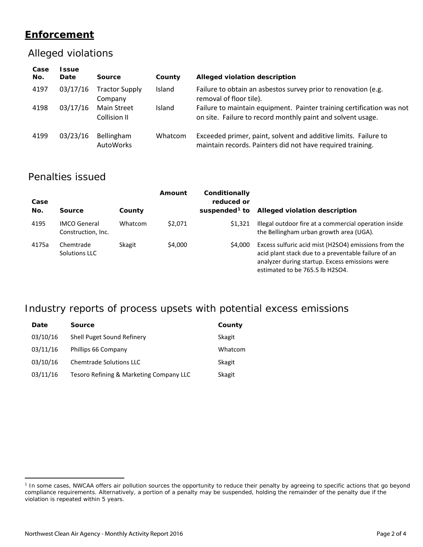#### **Enforcement**

#### Alleged violations

| Case<br>No. | <b>Issue</b><br>Date | Source                             | County  | Alleged violation description                                                                                                        |
|-------------|----------------------|------------------------------------|---------|--------------------------------------------------------------------------------------------------------------------------------------|
| 4197        | 03/17/16             | <b>Tractor Supply</b><br>Company   | Island  | Failure to obtain an asbestos survey prior to renovation (e.g.<br>removal of floor tile).                                            |
| 4198        | 03/17/16             | <b>Main Street</b><br>Collision II | Island  | Failure to maintain equipment. Painter training certification was not<br>on site. Failure to record monthly paint and solvent usage. |
| 4199        | 03/23/16             | Bellingham<br>AutoWorks            | Whatcom | Exceeded primer, paint, solvent and additive limits. Failure to<br>maintain records. Painters did not have required training.        |

#### Penalties issued

| Case<br>No. | Source                                    | County  | Amount  | Conditionally<br>reduced or<br>suspended <sup>1</sup> to | Alleged violation description                                                                                                                                                                    |
|-------------|-------------------------------------------|---------|---------|----------------------------------------------------------|--------------------------------------------------------------------------------------------------------------------------------------------------------------------------------------------------|
| 4195        | <b>IMCO</b> General<br>Construction, Inc. | Whatcom | \$2,071 | \$1.321                                                  | Illegal outdoor fire at a commercial operation inside<br>the Bellingham urban growth area (UGA).                                                                                                 |
| 4175a       | Chemtrade<br>Solutions LLC                | Skagit  | \$4,000 | \$4,000                                                  | Excess sulfuric acid mist (H2SO4) emissions from the<br>acid plant stack due to a preventable failure of an<br>analyzer during startup. Excess emissions were<br>estimated to be 765.5 lb H2SO4. |

### Industry reports of process upsets with potential excess emissions

| Date     | <b>Source</b>                           | County  |
|----------|-----------------------------------------|---------|
| 03/10/16 | Shell Puget Sound Refinery              | Skagit  |
| 03/11/16 | Phillips 66 Company                     | Whatcom |
| 03/10/16 | Chemtrade Solutions LLC                 | Skagit  |
| 03/11/16 | Tesoro Refining & Marketing Company LLC | Skagit  |

 $\overline{a}$ 

<span id="page-1-0"></span><sup>&</sup>lt;sup>1</sup> In some cases, NWCAA offers air pollution sources the opportunity to reduce their penalty by agreeing to specific actions that go beyond compliance requirements. Alternatively, a portion of a penalty may be suspended, holding the remainder of the penalty due if the violation is repeated within 5 years.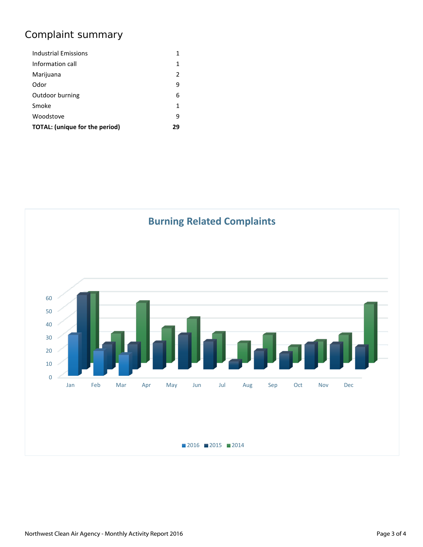# Complaint summary

| Industrial Emissions                  | 1  |
|---------------------------------------|----|
| Information call                      | 1  |
| Marijuana                             | 2  |
| Odor                                  | 9  |
| Outdoor burning                       | 6  |
| Smoke                                 | 1  |
| Woodstove                             | 9  |
| <b>TOTAL:</b> (unique for the period) | 29 |